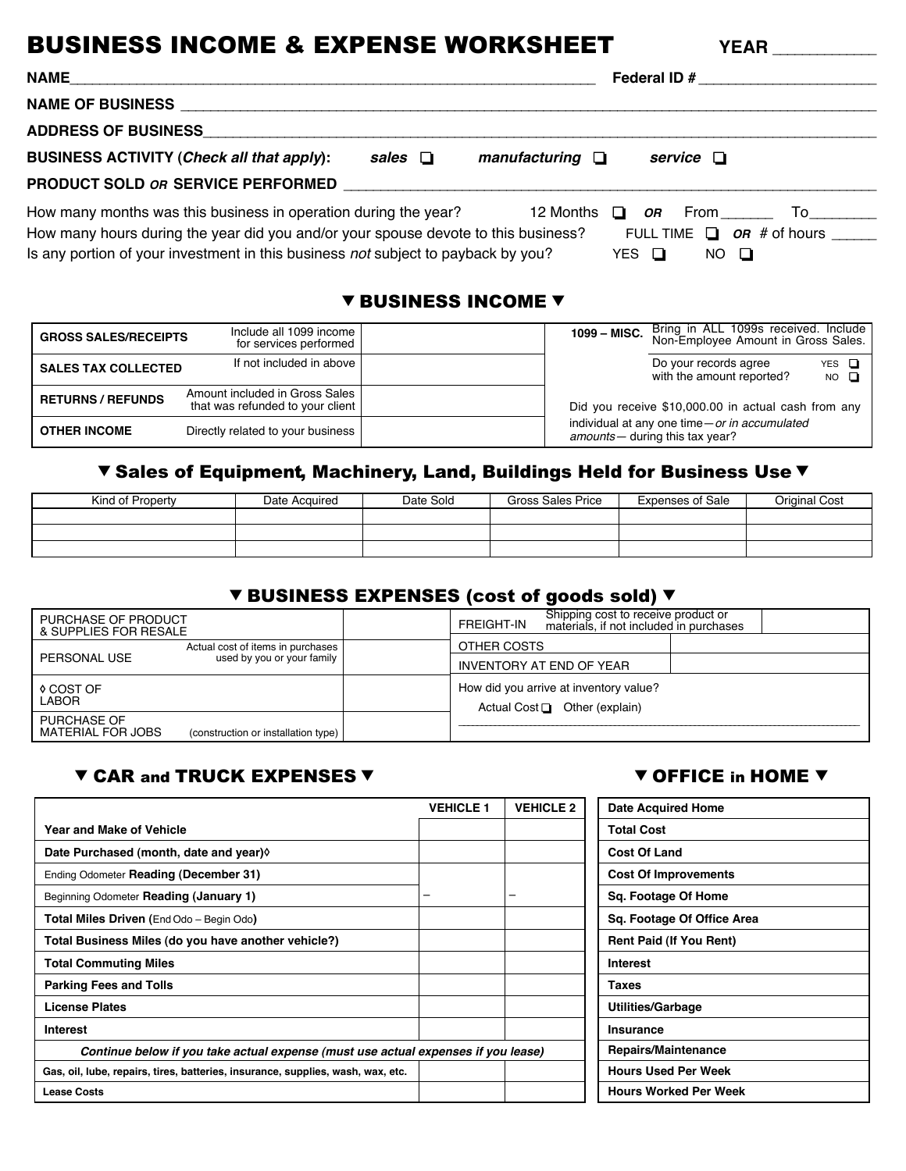# BUSINESS INCOME & EXPENSE WORKSHEET YEAR

| <b>NAME</b><br><u>and the control of the control of the control of the control of the control of the control of the control of th</u>                                                                                                      |              |                      | Federal ID $#$ |                                                          |  |
|--------------------------------------------------------------------------------------------------------------------------------------------------------------------------------------------------------------------------------------------|--------------|----------------------|----------------|----------------------------------------------------------|--|
| <b>NAME OF BUSINESS</b>                                                                                                                                                                                                                    |              |                      |                |                                                          |  |
| <b>ADDRESS OF BUSINESS</b>                                                                                                                                                                                                                 |              |                      |                |                                                          |  |
| <b>BUSINESS ACTIVITY (Check all that apply):</b>                                                                                                                                                                                           | sales $\Box$ | manufacturing $\Box$ |                | service $\Box$                                           |  |
| <b>PRODUCT SOLD OR SERVICE PERFORMED</b>                                                                                                                                                                                                   |              |                      |                |                                                          |  |
| How many months was this business in operation during the year?<br>How many hours during the year did you and/or your spouse devote to this business?<br>Is any portion of your investment in this business not subject to payback by you? |              | 12 Months $\Box$     | YES Q          | <b>OR</b> From<br>FULL TIME $\Box$ OR # of hours<br>NO Q |  |

#### **V BUSINESS INCOME V**

| <b>GROSS SALES/RECEIPTS</b> | Include all 1099 income<br>for services performed                  | 1099 - MISC. | Bring in ALL 1099s received. Include<br>Non-Employee Amount in Gross Sales.       |
|-----------------------------|--------------------------------------------------------------------|--------------|-----------------------------------------------------------------------------------|
| <b>SALES TAX COLLECTED</b>  | If not included in above                                           |              | Do your records agree<br>$YES$ $\Box$<br>with the amount reported?<br>$NO$ $\Box$ |
| <b>RETURNS / REFUNDS</b>    | Amount included in Gross Sales<br>that was refunded to your client |              | Did you receive \$10,000.00 in actual cash from any                               |
| <b>OTHER INCOME</b>         | Directly related to your business                                  |              | individual at any one time-or in accumulated<br>amounts - during this tax year?   |

# V Sales of Equipment, Machinery, Land, Buildings Held for Business Use V

| Kind of Property | Date Acquired | Date Sold | Gross Sales Price | <b>Expenses of Sale</b> | Original Cost |
|------------------|---------------|-----------|-------------------|-------------------------|---------------|
|                  |               |           |                   |                         |               |
|                  |               |           |                   |                         |               |
|                  |               |           |                   |                         |               |

# **V BUSINESS EXPENSES (cost of goods sold) V**

| PURCHASE OF PRODUCT<br>& SUPPLIES FOR RESALE   |                                     | Shipping cost to receive product or<br>FREIGHT-IN<br>materials, if not included in purchases |
|------------------------------------------------|-------------------------------------|----------------------------------------------------------------------------------------------|
| Actual cost of items in purchases              |                                     | OTHER COSTS                                                                                  |
| PERSONAL USE                                   | used by you or your family          | INVENTORY AT END OF YEAR                                                                     |
| ♦ COST OF<br>LABOR                             |                                     | How did you arrive at inventory value?<br>Actual Cost $\Box$ Other (explain)                 |
| <b>PURCHASE OF</b><br><b>MATERIAL FOR JOBS</b> | (construction or installation type) |                                                                                              |

# CAR and TRUCK EXPENSES OFFICE in HOME

|                                                                                   | <b>VEHICLE 1</b>         | <b>VEHICLE 2</b> | <b>Date Acquired Home</b>      |
|-----------------------------------------------------------------------------------|--------------------------|------------------|--------------------------------|
| <b>Year and Make of Vehicle</b>                                                   |                          |                  | <b>Total Cost</b>              |
| Date Purchased (month, date and year)                                             |                          |                  | <b>Cost Of Land</b>            |
| Ending Odometer Reading (December 31)                                             |                          |                  | <b>Cost Of Improvements</b>    |
| Beginning Odometer Reading (January 1)                                            | $\overline{\phantom{0}}$ | -                | Sq. Footage Of Home            |
| <b>Total Miles Driven (EndOdo – Begin Odo)</b>                                    |                          |                  | Sq. Footage Of Office Area     |
| Total Business Miles (do you have another vehicle?)                               |                          |                  | <b>Rent Paid (If You Rent)</b> |
| <b>Total Commuting Miles</b>                                                      |                          |                  | <b>Interest</b>                |
| <b>Parking Fees and Tolls</b>                                                     |                          |                  | <b>Taxes</b>                   |
| <b>License Plates</b>                                                             |                          |                  | <b>Utilities/Garbage</b>       |
| <b>Interest</b>                                                                   |                          |                  | <b>Insurance</b>               |
| Continue below if you take actual expense (must use actual expenses if you lease) |                          |                  | Repairs/Maintenance            |
| Gas, oil, lube, repairs, tires, batteries, insurance, supplies, wash, wax, etc.   |                          |                  | <b>Hours Used Per Week</b>     |
| <b>Lease Costs</b>                                                                |                          |                  | <b>Hours Worked Per Week</b>   |

| <b>Date Acquired Home</b>      |
|--------------------------------|
| <b>Total Cost</b>              |
| <b>Cost Of Land</b>            |
| <b>Cost Of Improvements</b>    |
| Sq. Footage Of Home            |
| Sq. Footage Of Office Area     |
| <b>Rent Paid (If You Rent)</b> |
| <b>Interest</b>                |
| Taxes                          |
| Utilities/Garbage              |
| Insurance                      |
| <b>Repairs/Maintenance</b>     |
| <b>Hours Used Per Week</b>     |
| <b>Hours Worked Per Week</b>   |